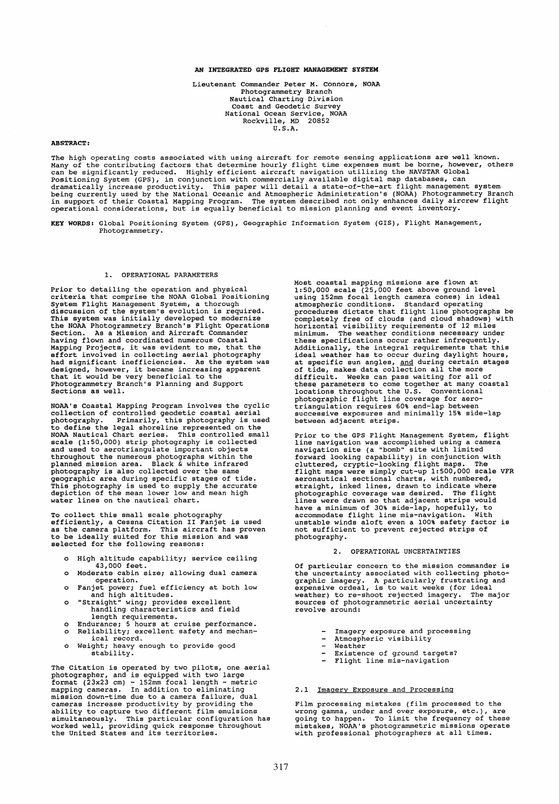## AN INTEGRATED GPS FLIGHT MANAGEMENT SYSTEM

Lieutenant Commander Peter M. Connors, NOAA Photogrammetry Branch Nautical Charting Division Coast and Geodetic Survey National Ocean Service, NOAA Rockville, MD 20852 U.S.A.

#### ABSTRACT:

The high operating costs associated with using aircraft for remote sensing applications are well known.<br>Many of the contributing factors that determine hourly flight time expenses must be borne, however, others<br>can be sign

KEY WORDS: Global Positioning System (GPS), Geographie Information System (GIS), Flight Management, Photogrammetry.

### 1. OPERATIONAL PARAMETERS

Prior to detailing the operation and physical criteria that comprise the NOAA Global Positioning System Flight Management System, a thorough discussion of the system's evolution is required. This system was initially developed to modernize the NOAA Photogrammetry Branch's Flight Operations Section. As a Mission and Aircraft Commander having flown and coordinated numerous Coastal naving riown and coordinated numerous coastained projects, it was evident to me, that the<br>Mapping Projects, it was evident to me, that the<br>effort involved in collecting aerial photography<br>had significant inefficiencies. As nad significant inefficiencies. As the system watesing apparent<br>designed, however, it became increasing apparent<br>that it would be very beneficial to the<br>Photogrammetry Branch's Planning and Support sections as well.

NOAA's Coastal Mapping Program involves the cyclic collection of controlled geodetic coastal aerial photography. Primarily, this photography is used to define the legal shoreline represented on the NOAA Nautical Chart series. This controlled small scale (1:50,000) strip photography is collected and used to aerotriangulate important objects throughout the numerous photographs within the planned mission area. Black & white infrared photography is also collected over the same geographie area during specific stages of tide. This photography is used to supply the accurate depiction of the mean lower low and mean high water lines on the nautical chart.

To collect this small scale photography efficiently, a Cessna Citation 11 Fanjet is used as the camera platform. This aircraft has proven to be ideally suited for this mission and was selected for the following reasons:

- o High altitude capability; service ceiling 43,000 feet.
- o Moderate cabin size; allowing dual camera
- operation. o Fanjet power; fuel efficiency at both low and high altitudes. o "straight" wing; provides excellent
- handling characteristics and field
- length requirements. o Endurance; 5 hours at cruise performance. o Reliability; excellent safety and mechan-
- ical record. o Weight; heavy enough to provide good
- stability.

The Citation is operated by two pilots, one aerial<br>photographer, and is equipped with two large<br>format (23x23 cm) - 152mm focal length - metric<br>mapping cameras. In addition to eliminating<br>mission down-time due to a camera simultaneously. This particular configuration has worked weIl, providing quick response throughout the United States and its territories. Most coastal mapping missions are flown at 1:50,000 scale (25,000 feet above ground level using 152mm focal length camera cones) in ideal<br>atmospheric conditions. Standard operating<br>procedures dictate that flight line photographs be<br>completely free of clouds (and cloud shadows) with<br>horizontal visibility require these specifications occur rather infrequently. Additionally, the integral requirements that this ideal weather has to occur during daylight hours, at specific sun angles, and during certain stages of tide, makes data collection all the more difficult. Weeks can pass waiting for all of these parameters to come together at many coastal locations throughout the U.S. Conventional photographie flight line coverage for aero-triangulation requires 60% end-lap between successive exposures and minimally 15% side-lap between adjacent strips.

Prior to the GPS Flight Management System, flight line navigation was accomplished using a camera navigation site (a "bomb" site with limited forward looking capability) in conjunction with<br>cluttered, cryptic-looking flight maps. The<br>flight maps were simply cut-up 1:500,000 scale VFR<br>arconautical sectional charts, with numbered,<br>atraight, inked lines, drawn to i lines were drawn so that adjacent strips would have a minimum of 30% side-lap, hopefully, to accommodate flight line mis-navigation. With unstable winds aloft even a 100% safety factor is not sufficient to prevent rejected strips of photography.

#### 2. OPERATIONAL UNCERTAINTIES

Of particular concern to the mission commander is the uncertainty associated with collecting photographie imagery. A particularly frustrating and expensive ordeal, is to wait weeks (for ideal weather) to re-shoot rejected imagery. The major sources of photogrammetric aerial uncertainty revolve around:

- Imagery exposure and processing
- $\sim$ Atmospheric visibility  $\overline{a}$ 
	- Weather
- Existence of ground targets? Flight line mis-navigation
- 

### 2.1 Imagery Exposure and Processing

Film processing mistakes (film processed to the wrong gamma, under and over exposure, etc.), are going to happen. To limit the frequency of these mistakes, NOAA's photogrammetric missions operate with professional photographers at all times.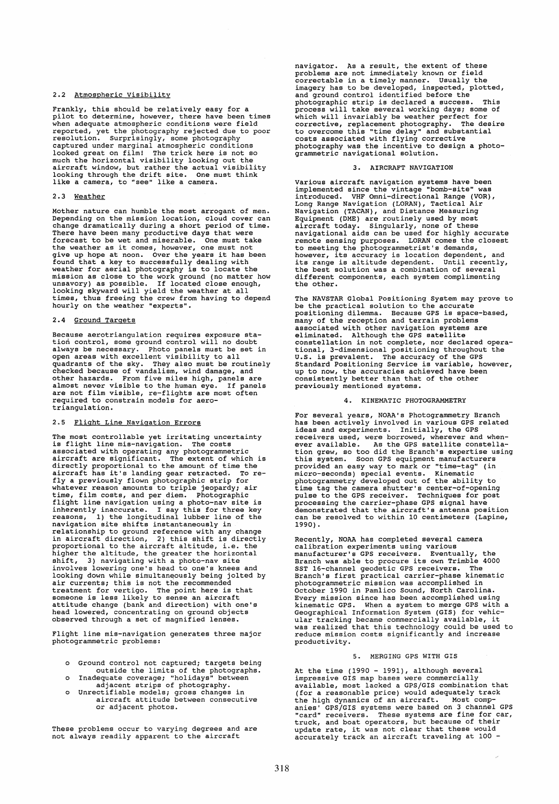### 2.2 Atmospheric Visibility

Frankly, this should be relatively easy for a pilot to determine, however, there have been times when adequate atmospheric conditions were field reported, yet the photography rejected due to poor<br>resolution. Surprisingly, some photography<br>captured under marginal atmospheric conditions<br>looked great on film! The trick here is not so<br>much the horizontal visibility loo

## 2.3 Weather

Mother nature can humble the most arrogant of men. Depending on the mission location, cloud cover can change dramatically during a short per iod of time. There have been many productive days that were<br>There have been many productive days that were<br>forecast to be wet and miserable. One must take<br>the weather as it comes, however, one must not<br>found that a key to successfully

# 2.4 Ground Targets

Because aerotriangulation requires exposure station control, some ground control will no doubt always be necessary. Photo panels must be set in open areas with excellent visibility to all quadrants of the sky. They also must be routinely checked because of vandalism, wind damage, and other hazards. From five miles high, panels are almost never visible to the human eye. If panels are not film visible, re-flights are most often required to constrain models for aerotriangulation.

### 2.5 Flight Line Navigation Errors

The most controllable yet irritating uncertainty<br>is flight line mis-navigation. The costs<br>associated with operating any photogrammetric<br>aircraft are significant. The extent of which is<br>directly proportional to the amount o flight line navigation using a photo-nav site is inherently inaccurate. I say this for three key reasons, 1) the longitudinal lubber line of the navigation site shifts instantaneously in relationship to ground reference with any change in aircraft direction, 2) this shift is directly proportional to the aircraft altitude, i.e. the higher the altitude, the greater the horizontal might, 3) navigating with a photo-nav site<br>involves lowering one's head to one's knees and<br>looking down while simultaneously being jolted by<br>air currents; this is not the recommended and continuous contract the point here is that<br>someone is less likely to sense an aircraft<br>attitude change (bank and direction) with one's<br>head lowered, concentrating on ground objects<br>observed through a set of magnified l

Flight line mis-navigation generates three major photogrammetric problems:

- Ground control not captured; targets being
- 
- outside the limits of the photographs. o Inadequate coverage; "holidays" between adjacent strips of photography. o Unrectifiable models; gross changes in aircraft attitude between consecutive or adjacent photos.

These problems occur to varying degrees and are not always readily apparent to the aircraft

navigator. As a result, the extent of these problems are not immediately known or field<br>correctable in a timely manner. Usually the<br>imagery has to be developed, inspected, plotted,<br>and ground control identified before the<br>photographic strip is declared a guess. This expective, replacement photography. The desire<br>to overcome this "time delay" and substantial<br>costs associated with flying corrective<br>photography was the incentive to design a photogrammetric navigational solution.

### 3. AIRCRAFT NAVIGATION

Various aircraft navigation systems have been implemented since the vintage "bomb-site" was introduced. VHF Omni-directional Range (VOR), Long Range Navigation (LORAN), Tactical Air<br>Navigation (TACAN), and Distance Measuring<br>Equipment (DME) are routinely used by most<br>aircraft today. Singularly, none of these<br>navigational aids can be used for highly accurate<br> the other.

The NAVSTAR Global Positioning System may prove to be the practical solution to the accurate positioning dilemma. Because GPS is space-based, many of the reception and terrain problems<br>associated with other navigation systems are<br>eliminated. Although the GPS satellite<br>constellation in not complete, nor declared opera-<br>tional, 3-dimensional positioning throughout previously mentioned systems.

# 4. KINEMATIC PHOTOGRAMMETRY

For several years, NOAA's Photogrammetry Branch<br>has been actively involved in various GPS related<br>ideas and experiments. Initially, the GPS<br>receivers used, were borrowed, wherever and when-<br>ever available. As the GPS satel tion grew, so too did the Branch's expertise using<br>this system. Soon GPS equipment manufacturers<br>provided an easy way to mark or "time-tag" (in<br>micro-seconds) special events. Kinematic<br>photogrammetry developed out of the a processing the carrier-phase GPS signal have demonstrated that the aircraft's antenna position can be resolved to within 10 centimeters (Lapine, 1990) •

Recently, NOAA has completed several camera<br>calibration experiments using various<br>manufacturer's GPS receivers. Eventually, the<br>Branch was able to procure its own Trimble 4000<br>SST 16-channel geodetic GPS receivers. The<br>Bra photogrammetric mission was accomplished in October 1990 in Pamlico Sound, North Carolina. Every mission since has been accomplished using kinematic GPS. When a system to merge GPS with a Geographical Information System (GIS) for vehic-ular tracking became commercially available, it was realized that this technology could be used to reduce mission costs significantly and increase productivity.

# 5. MERGING GPS WITH GIS

At the time (1990 - 1991), although several impressive GIS map bases were commercially<br>available, most lacked a GPS/GIS combination that<br>(for a reasonable price) would adequately track<br>the high dynamics of an aircraft. Most comp-<br>anies GPS/GIS systems were based on accurately track an aircraft traveling at 100 -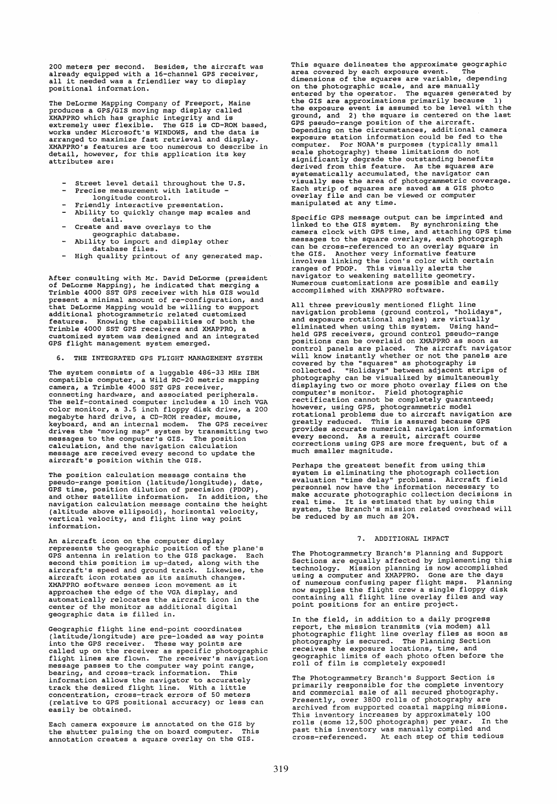200 meters per second. Besides, the aircraft was<br>already equipped with a 16-channel GPS receiver,<br>all it needed was a friendlier way to display positional information.

The DeLorme Mapping Company of Freeport, Maine produces a GPSjGIS moving map display called XMAPPRO which has graphie integrity and is works under Microsoft's WINDOWS, and the data is<br>arranged to maximize fast retrieval and display.<br>XMAPPRO's features are too numerous to describe in detail, however, for this application its key attributes are:

- Street level detail throughout the U.S.
- Precise measurement with latitude -
- longitude control.
- Friendly interactive presentation.<br>Ability to quickly change map scales and detail.
- $\sim$ Create and save overlays to the
- geographie database. Ability to import and display other
- database files. High quality printout of any generated map.

After consulting with Mr. David DeLorme (president of DeLorme Mapping), he indicated that merging a Trimble 4000 SST GPS receiver with his GIS would present a minimal amount of re-configuration, and phasman amazimum and be willing to support<br>additional photogrammetric related customized<br>features. Knowing the capabilities of both the<br>Trimble 4000 SST GPS receivers and XMAPPRO, a<br>customized system was designed and an in

6. THE INTEGRATED GPS FLIGHT MANAGEMENT SYSTEM

The system consists of a luggable 486-33 MHz IBM<br>compatible computer, a Wild RC-20 metric mapping<br>camera, a Trimble 4000 SST GPS receiver,<br>connecting hardware, and associated peripherals.<br>The self-contained computer includ color monitor, a 3.5 inch floppy disk drive, a 200<br>megabyte hard drive, a CD-ROM reader, mouse,<br>keyboard, and an internal modem. The GPS receiver<br>drives the "moving map" system by transmitting two<br>messages are received eve

The position ealculation message contains the pseudo-range position (latitudejlongitude), date, GPS time, position dilution of precision (PDOP), and other satellite information. In addition, the navigation calculation message contains the height (altitude above ellipsoid), horizontal velocity, vertical velocity, and flight line way point information.

An aireraft icon on the computer display represents the geographie position of the plane's GPS antenna in relation to the GIS package. Each second this position is up-dated, along with the aircraft's speed and ground track. Likewise, the aircraft icon rotates as its azimuth changes. XMAPPRO software senses icon movement as it approaches the edge of the VGA display, and automatically relocates the aircraft icon in the center of the monitor as additional digital geographie data is filled in.

Geographic flight line end-point coordinates<br>(latitude/longitude) are pre-loaded as way points<br>into the GPS receiver. These way points are<br>called up on the receiver as specific photographic<br>flight lines are flown. The rece information allows the navigator to aecurately track the desired flight line. With a little eoncentration, cross-track errors of 50 meters (relative to GPS positional accuracy) or less can easily be obtained.

Each camera exposure is annotated on the GIS by the shutter pulsing the on board computer. This annotation creates a square overlay on the GIS.

This square delineates the approximate geographie area covered by each exposure event. The<br>dimensions of the squares are variable, depending<br>on the photographic scale, and are manually<br>entered by the operator. The squares generated by<br>the GIS are approximations primarily GPS pseudo-range position of the aireraft. Depending on the circumstances, additional camera exposure station information cou1d be fed to the computer. For NOAA's purposes (typically small<br>scale photography) these limitations do not<br>significantly degrade the outstanding benefits<br>derived from this feature. As the squares are<br>systematically accumulated, the naviga visually see the area of photogrammetric coverage. Each strip of squares are saved as a GIS photo overlay file and can be viewed or computer manipulated at any time.

specific GPS message output can be imprinted and linked to the GIS system. By synchronizing the camera clock with GPS time, and attaching GPS time messages to the square overlays, each photo graph can be cross-referenced to an overlay square in the GIS. Another very informative feature involves linking the icon's color with certain ranges of PDOP. This visually a1erts the navigator to weakening satellite geometry. Numerous customizations are possible and easi1y accomplished with XMAPPRO software.

All three previously mentioned flight line<br>navigation problems (ground control, "holidays",<br>and exposure rotational angles) are virtually<br>eliminated when using this system. Using hand-<br>held GPS receivers, ground control ps control panels are placed. The aircraft navigator will know instantly whether or not the panels are covered by the "squares" as photography is collected. "Holidays" between adjacent strips of photography can be visualized by simultaneously photography can be viewered by the displaying two or more photo overlay files on the computer's monitor. Field photographic<br>rectification cannot be completely guaranteed; however, using GPS, photogrammetric model rotational problems due to aircraft navigation are greatly reduced. This is assured because GPS provides accurate numerical navigation information every second. As a result, aircraft course corrections using GPS are more frequent, but of a much smaller magnitude.

Perhaps the greatest benefit from using this<br>system is eliminating the photograph collection<br>evaluation "time delay" problems. Aircraft field<br>personnel now have the information necessary to<br>make accurate photographic colle be reduced by as much as 20%.

#### 7. ADDITIONAL IMPACT

The Photogrammetry Branch's Planning and Support<br>Sections are equally affected by implementing this<br>technology. Mission planning is now accomplished<br>using a computer and XMAPPRO. Gone are the days<br>of numerous confusing pap

In the field, in addition to a daily progress In the fleral, in addition of a warry progressed report, the mission transmits (via modem) all photographic flight line overlay files as soon as photography is secured. The Planning Section receives the exposure locations,

The Photogrammetry Branch's Support Section is<br>primarily responsible for the complete inventory<br>and commercial sale of all secured photography.<br>Presently, over 3800 rolls of photography are<br>archived from supported coastal This inventory increases by approximate1y 100 rolls (some 12,500 photographs) per year. In the past this inventory was manual1y compiled and cross-referenced. At each step of this tedious